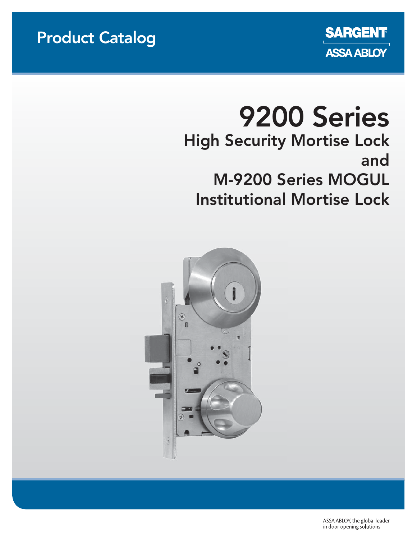### Product Catalog



# 9200 Series High Security Mortise Lock and M-9200 Series MOGUL Institutional Mortise Lock



ASSA ABLOY, the global leader in door opening solutions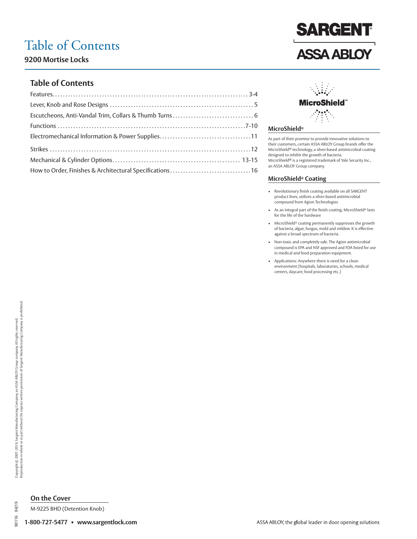### Table of Contents

**9200 Mortise Locks**

### **Table of Contents**

| How to Order, Finishes & Architectural Specifications16 |  |
|---------------------------------------------------------|--|
|                                                         |  |



**SARGENT** 

**ASSA ABLOY** 

#### **MicroShield®**

As part of their promise to provide innovative solutions to their customers, certain ASSA ABLOY Group brands offer the MicroShield® technology, a silver-based antimicrobial coating designed to inhibit the growth of bacteria. MicroShield® is a registered trademark of Yale Security Inc., an ASSA ABLOY Group company.

#### **MicroShield® Coating**

- Revolutionary finish coating available on all SARGENT product lines, utilizes a silver-based antimicrobial compound from Agion Technologies
- As an integral part of the finish coating, MicroShield® lasts for the life of the hardware
- MicroShield® coating permanently suppresses the growth of bacteria, algae, fungus, mold and mildew. It is effective against a broad spectrum of bacteria.
- Non-toxic and completely safe. The Agion antimicrobial compound is EPA and NSF approved and FDA listed for use in medical and food preparation equipment.
- Applications: Anywhere there is need for a clean environment (hospitals, laboratories, schools, medical centers, daycare, food processing etc.)

04/19 90116

### **On the Cover**

M-9225 BHD (Detention Knob)

**1-800-727-5477 • www.sargentlock.com**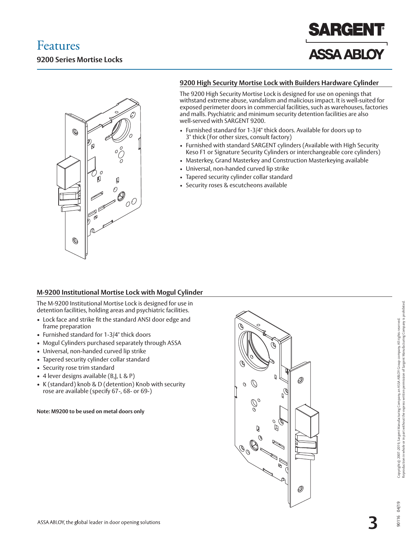



### **9200 High Security Mortise Lock with Builders Hardware Cylinder**

The 9200 High Security Mortise Lock is designed for use on openings that withstand extreme abuse, vandalism and malicious impact. It is well-suited for exposed perimeter doors in commercial facilities, such as warehouses, factories and malls. Psychiatric and minimum security detention facilities are also well-served with SARGENT 9200.

- Furnished standard for 1-3/4" thick doors. Available for doors up to 3" thick (For other sizes, consult factory)
- Furnished with standard SARGENT cylinders (Available with High Security Keso F1 or Signature Security Cylinders or interchangeable core cylinders)
- Masterkey, Grand Masterkey and Construction Masterkeying available
- Universal, non-handed curved lip strike
- Tapered security cylinder collar standard
- Security roses & escutcheons available

### **M-9200 Institutional Mortise Lock with Mogul Cylinder**

The M-9200 Institutional Mortise Lock is designed for use in detention facilities, holding areas and psychiatric facilities.

- Lock face and strike fit the standard ANSI door edge and frame preparation
- Furnished standard for 1-3/4" thick doors
- Mogul Cylinders purchased separately through ASSA
- Universal, non-handed curved lip strike
- Tapered security cylinder collar standard
- Security rose trim standard
- 4 lever designs available (B,J, L & P)
- K (standard) knob & D (detention) Knob with security rose are available (specify 67-, 68- or 69-)

**Note: M9200 to be used on metal doors only**



04/19  $\frac{6}{2}$ 

 $106$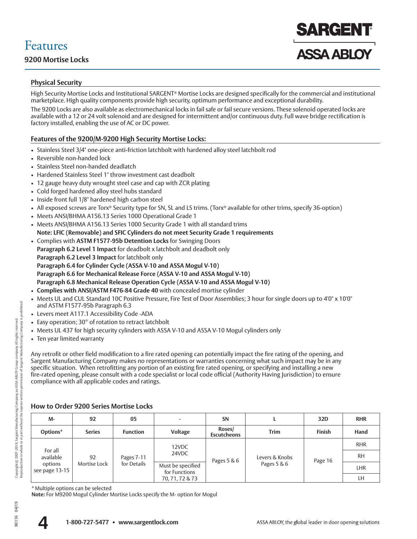# Features

### **Physical Security**

High Security Mortise Locks and Institutional SARGENT® Mortise Locks are designed specifically for the commercial and institutional marketplace. High quality components provide high security, optimum performance and exceptional durability.

The 9200 Locks are also available as electromechanical locks in fail safe or fail secure versions. These solenoid operated locks are available with a 12 or 24 volt solenoid and are designed for intermittent and/or continuous duty. Full wave bridge rectification is factory installed, enabling the use of AC or DC power.

### **Features of the 9200/M-9200 High Security Mortise Locks:**

- Stainless Steel 3/4" one-piece anti-friction latchbolt with hardened alloy steel latchbolt rod
- Reversible non-handed lock
- Stainless Steel non-handed deadlatch
- Hardened Stainless Steel 1" throw investment cast deadbolt
- 12 gauge heavy duty wrought steel case and cap with ZCR plating
- Cold forged hardened alloy steel hubs standard
- Inside front full 1/8" hardened high carbon steel
- All exposed screws are Torx® Security type for SN, SL and LS trims. (Torx® available for other trims, specify 36-option)
- Meets ANSI/BHMA A156.13 Series 1000 Operational Grade 1
- Meets ANSI/BHMA A156.13 Series 1000 Security Grade 1 with all standard trims **Note: LFIC (Removable) and SFIC Cylinders do not meet Security Grade 1 requirements**
- Complies with **ASTM F1577-95b Detention Locks** for Swinging Doors **Paragraph 6.2 Level 1 Impact** for deadbolt x latchbolt and deadbolt only **Paragraph 6.2 Level 3 Impact** for latchbolt only **Paragraph 6.4 for Cylinder Cycle (ASSA V-10 and ASSA Mogul V-10) Paragraph 6.6 for Mechanical Release Force (ASSA V-10 and ASSA Mogul V-10) Paragraph 6.8 Mechanical Release Operation Cycle (ASSA V-10 and ASSA Mogul V-10)** • **Complies with ANSI/ASTM F476-84 Grade 40** with concealed mortise cylinder
- Meets UL and CUL Standard 10C Positive Pressure, Fire Test of Door Assemblies; 3 hour for single doors up to 4'0" x 10'0" and ASTM F1577-95b Paragraph 6.3
- Levers meet A117.1 Accessibility Code -ADA
- Easy operation; 30° of rotation to retract latchbolt
- Meets UL 437 for high security cylinders with ASSA V-10 and ASSA V-10 Mogul cylinders only
- Ten year limited warranty

Any retrofit or other field modification to a fire rated opening can potentially impact the fire rating of the opening, and Sargent Manufacturing Company makes no representations or warranties concerning what such impact may be in any specific situation. When retrofitting any portion of an existing fire rated opening, or specifying and installing a new fire-rated opening, please consult with a code specialist or local code official (Authority Having Jurisdiction) to ensure compliance with all applicable codes and ratings.

### **How to Order 9200 Series Mortise Locks**

| M-                        | 92                          | 05              |                 | <b>SN</b>                          |                | 32D           | <b>RHR</b> |     |
|---------------------------|-----------------------------|-----------------|-----------------|------------------------------------|----------------|---------------|------------|-----|
| Options*                  | <b>Series</b>               | <b>Function</b> | Voltage         | Roses/<br><b>Escutcheons</b>       | <b>Trim</b>    | <b>Finish</b> | Hand       |     |
|                           |                             |                 | 12VDC           |                                    |                |               | <b>RHR</b> |     |
| For all<br>available      | 92                          | Pages 7-11      | 24VDC           | Pages 5 & 6                        | Levers & Knobs | Page 16       | <b>RH</b>  |     |
| options<br>see page 13-15 | for Details<br>Mortise Lock |                 |                 | Must be specified<br>for Functions |                | Pages 5 & 6   |            | LHR |
|                           |                             |                 | 70, 71, 72 & 73 |                                    |                |               | LH         |     |

\* Multiple options can be selected

**Note:** For M9200 Mogul Cylinder Mortise Locks specify the M- option for Mogul



04/19 90116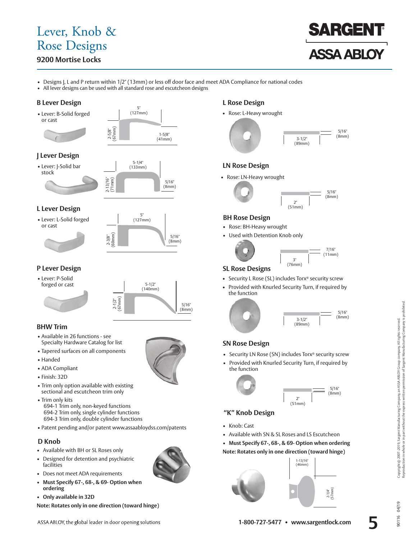### Lever, Knob & Rose Designs

### **9200 Mortise Locks**



• Designs J, L and P return within 1/2" (13mm) or less off door face and meet ADA Compliance for national codes

1-5/8" (41mm)

• All lever designs can be used with all standard rose and escutcheon designs

5" (127mm)

2-5/8" (67mm)

### **B Lever Design**





### **J Lever Design**





### **L Lever Design**

• Lever: L-Solid forged or cast





### **P Lever Design**

• Lever: P-Solid



### **BHW Trim**

- Available in 26 functions see Specialty Hardware Catalog for list
- Tapered surfaces on all components
- Handed
- ADA Compliant
- Finish: 32D
- Trim only option available with existing sectional and escutcheon trim only
- Trim only kits 694-1 Trim only, non-keyed functions 694-2 Trim only, single cylinder functions 694-3 Trim only, double cylinder functions
- Patent pending and/or patent www.assaabloydss.com/patents

### **D Knob**

- Available with BH or SL Roses only
- Designed for detention and psychiatric facilities
- Does not meet ADA requirements
- **Must Specify 67-, 68-, & 69- Option when ordering**
- **Only available in 32D**

**Note: Rotates only in one direction (toward hinge)**



### **L Rose Design**

• Rose: L-Heavy wrought



### **LN Rose Design**

• Rose: LN-Heavy wrought



### **BH Rose Design**

- Rose: BH-Heavy wrought
- Used with Detention Knob only



 $\frac{5}{16}$ "

### **SL Rose Designs**

- Security L Rose (SL) includes Torx® security screw
- Provided with Knurled Security Turn, if required by the function



### **SN Rose Design**

- Security LN Rose (SN) includes Torx® security screw
- Provided with Knurled Security Turn, if required by the function



### **"K" Knob Design**

- Knob: Cast
- Available with SN & SL Roses and LS Escutcheon
- **Must Specify 67-, 68-, & 69- Option when ordering Note: Rotates only in one direction (toward hinge)**





04/19  $\frac{6}{2}$ 

 $106$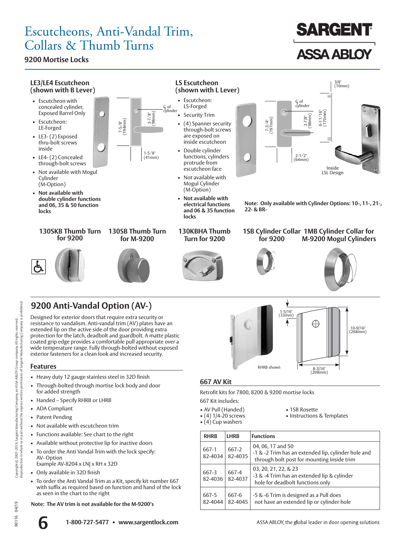### Escutcheons, Anti-Vandal Trim, Collars & Thumb Turns

### **9200 Mortise Locks**

LE-Forged

inside

Cylinder (M-Option)

**locks**



**130SKB Thumb Turn for 9200**





**130KBHA Thumb Turn for 9200**



**locks**

- 1SB Cylinder Collar 1MB Cylinder Collar for
	- **for 9200 M-9200 Mogul Cylinders**



10-9/16" (268mm)

### **9200 Anti-Vandal Option (AV-)**

Designed for exterior doors that require extra security or resistance to vandalism. Anti-vandal trim (AV) plates have an extended lip on the active side of the door providing extra protection for the latch, deadbolt and guardbolt. A matte plastic coated grip edge provides a comfortable pull appropriate over a wide temperature range. Fully through-bolted without exposed exterior fasteners for a clean look and increased security.

### **Features**

- Heavy duty 12 gauge stainless steel in 32D finish
- Through-bolted through mortise lock body and door for added strength
- Handed Specify RHRB or LHRB
- ADA Compliant
- Patent Pending
- Not available with escutcheon trim
- Functions available: See chart to the right
- Available without protective lip for inactive doors
- To order the Anti Vandal Trim with the lock specify: AV- Option Example AV-8204 x LNJ x RH x 32D
- Only available in 32D finish
- To order the Anti Vandal Trim as a Kit, specify kit number 667 with suffix as required based on function and hand of the lock as seen in the chart to the right

**Note: The AV trim is not available for the M-9200's**

# RHRB shown 8-3/16" (208mm)

1-5/16"  $(33<sub>mm</sub>)$ 

### **667 AV Kit**

Retrofit kits for 7800, 8200 & 9200 mortise locks

- 667 Kit includes:
- AV Pull (Handed) 1SB Rosette
- (4) Cup washers
- 
- Instructions & Templates

⊕

 **RHRB LHRB Functions** 667-1 82-4034 667-2 82-4035 04, 06, 17 and 50 - 1 & -2 Trim has an extended lip, cylinder hole and through bolt post for mounting Inside trim 667-3 82-4036 667-4 82-4037 03, 20, 21, 22, & 23 - 3 & -4 Trim has an extended lip & cylinder hole for deadbolt functions only 667-5 82-4044 667-6 82-4045 - 5 & -6 Trim is designed as a Pull does not have an extended lip or cylinder hole

04/19  $\frac{6}{2}$  $\overline{5}$ 

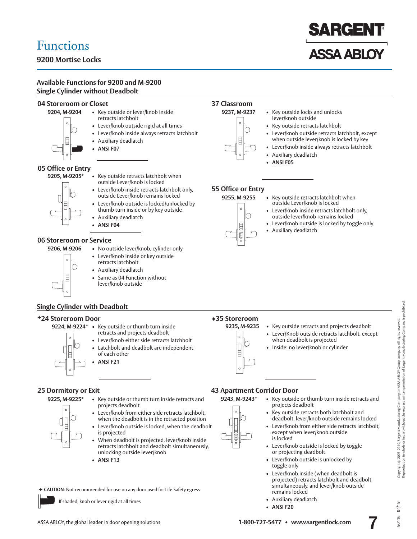### **9200 Mortise Locks**

### **ARGEN ASSA ABLOY**

### **Available Functions for 9200 and M-9200 Single Cylinder without Deadbolt**



### **Single Cylinder with Deadbolt**

#### -**24 Storeroom Door**



- **9224, M-9224\*** Key outside or thumb turn inside retracts and projects deadbolt
	- Lever/knob either side retracts latchbolt
	- Latchbolt and deadbolt are independent of each other • **ANSI F21**

### **25 Dormitory or Exit**

- **9225, M-9225\*** Key outside or thumb turn inside retracts and projects deadbolt
	- Lever/knob from either side retracts latchbolt, when the deadbolt is in the retracted position
	- Lever/knob outside is locked, when the deadbolt is projected
	- When deadbolt is projected, lever/knob inside retracts latchbolt and deadbolt simultaneously, unlocking outside lever/knob
	- **ANSI F13**

◆ CAUTION: Not recommended for use on any door used for Life Safety egress

If shaded, knob or lever rigid at all times

### **43 Apartment Corridor Door**

-**35 Storeroom**

 **9243, M-9243\*** • Key outside or thumb turn inside retracts and projects deadbolt

• Lever/Knob outside retracts latchbolt, except

**9235, M-9235** • Key outside retracts and projects deadbolt

when deadbolt is projected • Inside: no lever/knob or cylinder

- Key outside retracts both latchbolt and deadbolt, lever/knob outside remains locked
- Lever/knob from either side retracts latchbolt, except when lever/knob outside is locked
- Lever/knob outside is locked by toggle or projecting deadbolt
- Lever/knob outside is unlocked by toggle only
- Lever/knob inside (when deadbolt is projected) retracts latchbolt and deadbolt simultaneously, and lever/knob outside remains locked
- Auxiliary deadlatch
- **ANSI F20**

04/19  $\frac{6}{2}$ 

 $\overline{5}$ 

### ASSA ABLOY, the global leader in door opening solutions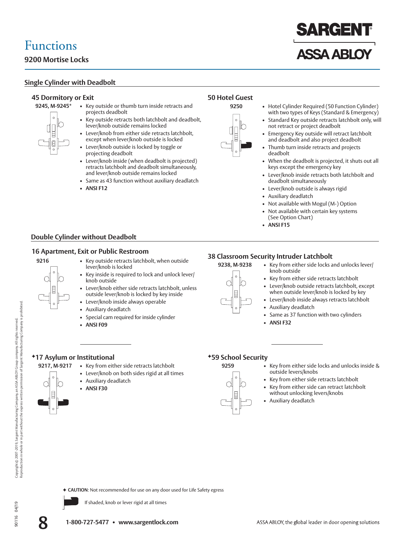### **9200 Mortise Locks**

### **Single Cylinder with Deadbolt**

### **45 Dormitory or Exit**



- **9245, M-9245\*** Key outside or thumb turn inside retracts and projects deadbolt
	- Key outside retracts both latchbolt and deadbolt, lever/knob outside remains locked
	- Lever/knob from either side retracts latchbolt, except when lever/knob outside is locked
	- Lever/knob outside is locked by toggle or projecting deadbolt
	- Lever/knob inside (when deadbolt is projected) retracts latchbolt and deadbolt simultaneously, and lever/knob outside remains locked
	- Same as 43 function without auxiliary deadlatch
	- **ANSI F12**

### **Double Cylinder without Deadbolt**

### **16 Apartment, Exit or Public Restroom**



- **9216** Key outside retracts latchbolt, when outside lever/knob is locked
	- Key inside is required to lock and unlock lever/ knob outside
	- Lever/knob either side retracts latchbolt, unless outside lever/knob is locked by key inside
	- Lever/knob inside always operable
	- Auxiliary deadlatch
	- Special cam required for inside cylinder
	- **ANSI F09**

### **38 Classroom Security Intruder Latchbolt**

• **ANSI F15**

deadbolt



**50 Hotel Guest**

- **9238, M-9238** Key from either side locks and unlocks lever/ knob outside • Key from either side retracts latchbolt
	- Lever/knob outside retracts latchbolt, except
	- when outside lever/knob is locked by key
	- Lever/knob inside always retracts latchbolt
	- Auxiliary deadlatch
	- Same as 37 function with two cylinders
	- **ANSI F32**

### -**17 Asylum or Institutional**

- 9217, M-9217 Key from either side retracts latchbolt
	- Lever/knob on both sides rigid at all times
	- Auxiliary deadlatch
	-





- **9259**  Key from either side locks and unlocks inside & outside levers/knobs
	- Key from either side retracts latchbolt
	- Key from either side can retract latchbolt without unlocking levers/knobs
	- Auxiliary deadlatch

Copyright © 2007-2019, Sargent Manufacturing Company, an ASSA ABLOY Group company. All rights reserved.<br>Reproduction in whole or in part without the express written permission of Sargent Manufacturing Company is p 90116 04/19 Copyright © 2007-2019, Sargent Manufacturing Company, an ASSA ABLOY Group company. All rights reserved.



◆ CAUTION: Not recommended for use on any door used for Life Safety egress

If shaded, knob or lever rigid at all times

- 
- 
- **ANSI F30**
- 





**ASSA ABLOY** 

**SARGEN** 

with two types of Keys (Standard & Emergency) • Standard Key outside retracts latchbolt only, will

 • Emergency Key outside will retract latchbolt and deadbolt and also project deadbolt Thumb turn inside retracts and projects

• When the deadbolt is projected, it shuts out all

• Lever/knob inside retracts both latchbolt and

**9250** • Hotel Cylinder Required (50 Function Cylinder)

not retract or project deadbolt

keys except the emergency key

 • Not available with Mogul (M-) Option • Not available with certain key systems

deadbolt simultaneously • Lever/knob outside is always rigid

• Auxiliary deadlatch

(See Option Chart)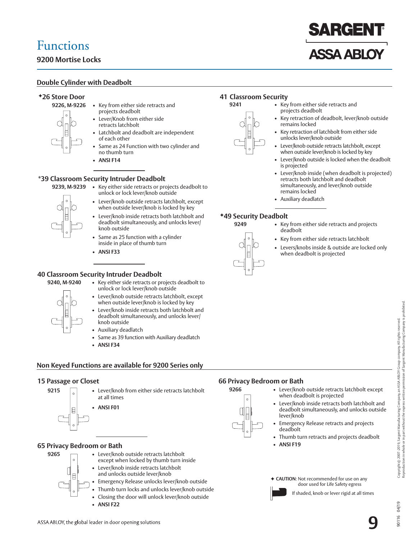### **9200 Mortise Locks**

### **Double Cylinder with Deadbolt**

### -**26 Store Door**

- **9226, M-9226** Key from either side retracts and projects deadbolt
	- Lever/Knob from either side retracts latchbolt
	- Latchbolt and deadbolt are independent of each other
	- Same as 24 Function with two cylinder and no thumb turn
	- **ANSI F14**

### **\*39 Classroom Security Intruder Deadbolt**

- 
- **9239, M-9239** Key either side retracts or projects deadbolt to unlock or lock lever/knob outside
	- Lever/knob outside retracts latchbolt, except when outside lever/knob is locked by key
	- Lever/knob inside retracts both latchbolt and deadbolt simultaneously, and unlocks lever/ knob outside
	- Same as 25 function with a cylinder inside in place of thumb turn
	- **ANSI F33**

### **40 Classroom Security Intruder Deadbolt**



- **9240, M-9240**  Key either side retracts or projects deadbolt to unlock or lock lever/knob outside
	- Lever/knob outside retracts latchbolt, except when outside lever/knob is locked by key
	- Lever/knob inside retracts both latchbolt and deadbolt simultaneously, and unlocks lever/ knob outside
	- Auxiliary deadlatch
	- Same as 39 function with Auxiliary deadlatch
	- **ANSI F34**

### **Non Keyed Functions are available for 9200 Series only**

### **15 Passage or Closet**



**9215** • Lever/knob from either side retracts latchbolt at all times

• **ANSI F01**

### **65 Privacy Bedroom or Bath**



- 9265 Lever/knob outside retracts latchbolt except when locked by thumb turn inside • Lever/knob inside retracts latchbolt and unlocks outside lever/knob
	- Emergency Release unlocks lever/knob outside
	- Thumb turn locks and unlocks lever/knob outside
	- Closing the door will unlock lever/knob outside
	- **ANSI F22**

### **41 Classroom Security**

- **9241** Key from either side retracts and projects deadbolt
	- Key retraction of deadbolt, lever/knob outside remains locked
	- Key retraction of latchbolt from either side unlocks lever/knob outside
	- Lever/knob outside retracts latchbolt, except when outside lever/knob is locked by key
	- Lever/knob outside is locked when the deadbolt is projected
	- Lever/knob inside (when deadbolt is projected) retracts both latchbolt and deadbolt simultaneously, and lever/knob outside remains locked
	- Auxiliary deadlatch

### -**49 Security Deadbolt**

- **9249** Key from either side retracts and projects deadbolt
	- Key from either side retracts latchbolt
	- Levers/knobs inside & outside are locked only when deadbolt is projected

### **66 Privacy Bedroom or Bath**

- **9266** Lever/knob outside retracts latchbolt except
	- when deadbolt is projected • Lever/knob inside retracts both latchbolt and deadbolt simultaneously, and unlocks outside lever/knob
	- Emergency Release retracts and projects deadbolt Thumb turn retracts and projects deadbolt
		- **ANSI F19**

◆ CAUTION: Not recommended for use on any door used for Life Safety egress

Copyright © 2007-2019, Sargent Manufacturing Company, an ASSA ABLOY Group company. All rights reserved.<br>Reproduction in whole or in part without the express written permission of Sargent Manufacturing Company is prohibited Reproduction in whole or in part without the express written permission of Sargent Manufacturing Company is prohibited. 90116 04/19 Copyright © 2007-2019, Sargent Manufacturing Company, an ASSA ABLOY Group company. All rights reserved.

04/19  $\frac{6}{2}$ 

 $106$ 





# **ISSA ARIC**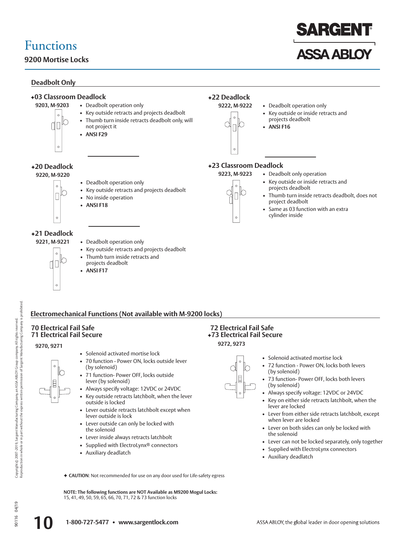### **9200 Mortise Locks**

### **Deadbolt Only**



### **Electromechanical Functions (Not available with M-9200 locks)**

### **70 Electrical Fail Safe 71 Electrical Fail Secure**

#### **9270, 9271**

- Solenoid activated mortise lock
- 70 function Power ON, locks outside lever (by solenoid)
- 71 function- Power OFF, locks outside lever (by solenoid)
- Always specify voltage: 12VDC or 24VDC
- Key outside retracts latchbolt, when the lever outside is locked
- Lever outside retracts latchbolt except when lever outside is lock
- Lever outside can only be locked with the solenoid
- Lever inside always retracts latchbolt
- Supplied with ElectroLynx® connectors
- Auxiliary deadlatch

#### **9272, 9273 72 Electrical Fail Safe**  -**73 Electrical Fail Secure**

- Solenoid activated mortise lock
- 72 function Power ON, locks both levers (by solenoid)
- 73 function- Power OFF, locks both levers (by solenoid)
- Always specify voltage: 12VDC or 24VDC
- Key on either side retracts latchbolt, when the lever are locked
- Lever from either side retracts latchbolt, except when lever are locked
- Lever on both sides can only be locked with the solenoid
- Lever can not be locked separately, only together
- Supplied with ElectroLynx connectors
- Auxiliary deadlatch

◆ CAUTION: Not recommended for use on any door used for Life-safety egress

**NOTE: The following functions are NOT Available as M9200 Mogul Locks:**  15, 41, 49, 50, 59, 65, 66, 70, 71, 72 & 73 function locks

Copyright © 2007-2019, Sargent Manufacturing Company, an ASSA ABLOY Group company. All rights reserved.<br>Reproduction in whole or in part without the express written permission of Sargent Manufacturing Company is prohibi Reproduction in whole or in part without the express written permission of Sargent Manufacturing Company is prohibited. 90116 04/19 Copyright © 2007-2019, Sargent Manufacturing Company, an ASSA ABLOY Group company. All rights reserved.

## 04/19 90116

### **10 1-800-727-5477 • www.sargentlock.com**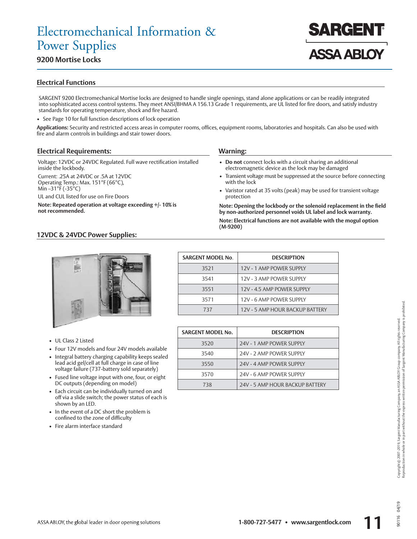### **9200 Mortise Locks**

### **Electrical Functions**

SARGENT 9200 Electromechanical Mortise locks are designed to handle single openings, stand alone applications or can be readily integrated into sophisticated access control systems. They meet ANSI/BHMA A 156.13 Grade 1 requirements, are UL listed for fire doors, and satisfy industry standards for operating temperature, shock and fire hazard.

• See Page 10 for full function descriptions of lock operation

**Applications:** Security and restricted access areas in computer rooms, offices, equipment rooms, laboratories and hospitals. Can also be used with fire and alarm controls in buildings and stair tower doors.

#### **Electrical Requirements:**

Voltage: 12VDC or 24VDC Regulated. Full wave rectification installed inside the lockbody.

Current: .25A at 24VDC or .5A at 12VDC Operating Temp.: Max. 151°F (66°C), Min –31 $\overline{P}$  (-35 $\overline{O}$ C)

UL and CUL listed for use on Fire Doors

**Note: Repeated operation at voltage exceeding +/- 10% is not recommended.**

#### **Warning:**

- **Do not** connect locks with a circuit sharing an additional electromagnetic device as the lock may be damaged
- Transient voltage must be suppressed at the source before connecting with the lock

**ASSA ABLOY** 

• Varistor rated at 35 volts (peak) may be used for transient voltage protection

**Note: Opening the lockbody or the solenoid replacement in the field by non-authorized personnel voids UL label and lock warranty.**

**Note: Electrical functions are not available with the mogul option (M-9200)**

### **12VDC & 24VDC Power Supplies:**



- UL Class 2 Listed
- Four 12V models and four 24V models available
- Integral battery charging capability keeps sealed lead acid gel/cell at full charge in case of line voltage failure (737-battery sold separately)
- Fused line voltage input with one, four, or eight DC outputs (depending on model)
- Each circuit can be individually turned on and off via a slide switch; the power status of each is shown by an LED.
- In the event of a DC short the problem is confined to the zone of difficulty
- Fire alarm interface standard

| <b>SARGENT MODEL No.</b> | <b>DESCRIPTION</b>              |
|--------------------------|---------------------------------|
| 3521                     | 12V - 1 AMP POWER SUPPLY        |
| 3541                     | 12V - 3 AMP POWER SUPPLY        |
| 3551                     | 12V - 4.5 AMP POWER SUPPLY      |
| 3571                     | 12V - 6 AMP POWER SUPPLY        |
| 737                      | 12V - 5 AMP HOUR BACKUP BATTERY |

| <b>SARGENT MODEL No.</b> | <b>DESCRIPTION</b>              |
|--------------------------|---------------------------------|
| 3520                     | 24V - 1 AMP POWER SUPPLY        |
| 3540                     | 24V - 2 AMP POWER SUPPLY        |
| 3550                     | 24V - 4 AMP POWER SUPPLY        |
| 3570                     | 24V - 6 AMP POWER SUPPLY        |
| 738                      | 24V - 5 AMP HOUR BACKUP BATTERY |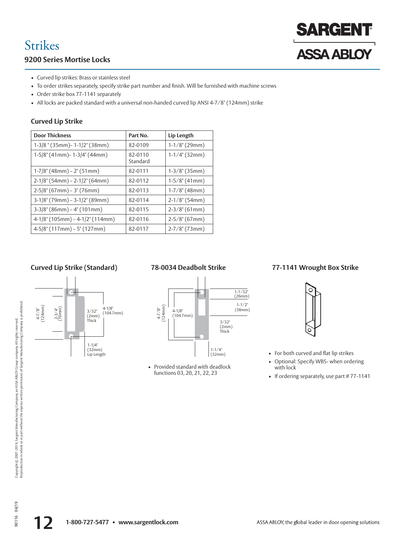## Strikes

### **9200 Series Mortise Locks**

# **SARGENT ASSA ABLOY**

- Curved lip strikes: Brass or stainless steel
- To order strikes separately, specify strike part number and finish. Will be furnished with machine screws
- Order strike box 77-1141 separately
- All locks are packed standard with a universal non-handed curved lip ANSI 4-7/8" (124mm) strike

### **Curved Lip Strike**

| <b>Door Thickness</b>            | Part No.            | Lip Length         |
|----------------------------------|---------------------|--------------------|
| 1-3/8" (35mm) - 1-1/2" (38mm)    | 82-0109             | $1-1/8$ " (29mm)   |
| 1-5/8" (41mm) - 1-3/4" (44mm)    | 82-0110<br>Standard | $1-1/4$ " (32mm)   |
| $1-7/8$ " (48mm) – 2" (51mm)     | 82-0111             | $1-3/8$ " (35mm)   |
| $2-1/8$ " (54mm) – 2-1/2" (64mm) | 82-0112             | $1-5/8$ " (41mm)   |
| $2-5/8$ " (67mm) – 3" (76mm)     | 82-0113             | $1-7/8$ " (48mm)   |
| $3-1/8$ " (79mm) – 3-1/2" (89mm) | 82-0114             | $2-1/8$ " (54mm)   |
| $3-3/8$ " (86mm) – 4" (101mm)    | 82-0115             | $2-3/8$ " (61mm)   |
| 4-1/8" (105mm) - 4-1/2" (114mm)  | 82-0116             | $2-5/8$ " (67mm)   |
| $4-5/8$ " (117mm) – 5" (127mm)   | 82-0117             | $2 - 7/8$ " (73mm) |

### **Curved Lip Strike (Standard)**





• Provided standard with deadlock functions 03, 20, 21, 22, 23

### **78-0034 Deadbolt Strike 77-1141 Wrought Box Strike**



• For both curved and flat lip strikes

- Optional: Specify WBS- when ordering with lock
- If ordering separately, use part #77-1141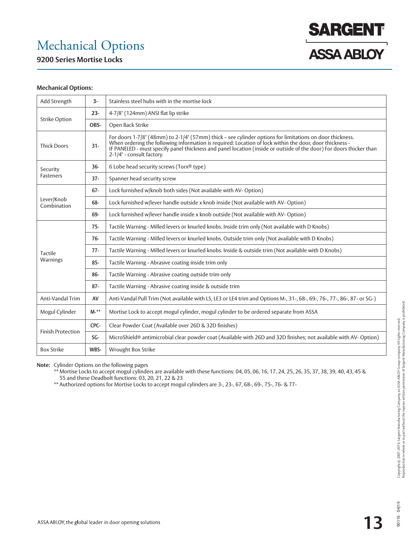### Mechanical Options

**9200 Series Mortise Locks**



#### **Mechanical Options:**

| Add Strength              | $3-$   | Stainless steel hubs with in the mortise lock                                                                                                                                                                                                                                                                                                                           |  |  |  |  |
|---------------------------|--------|-------------------------------------------------------------------------------------------------------------------------------------------------------------------------------------------------------------------------------------------------------------------------------------------------------------------------------------------------------------------------|--|--|--|--|
|                           | $23 -$ | 4-7/8" (124mm) ANSI flat lip strike                                                                                                                                                                                                                                                                                                                                     |  |  |  |  |
| <b>Strike Option</b>      | OBS-   | Open Back Strike                                                                                                                                                                                                                                                                                                                                                        |  |  |  |  |
| <b>Thick Doors</b>        | $31 -$ | For doors 1-7/8" (48mm) to 2-1/4" (57mm) thick - see cylinder options for limitations on door thickness.<br>When ordering the following information is required: Location of lock within the door, door thickness -<br>IF PANELED - must specify panel thickness and panel location (inside or outside of the door) For doors thicker than<br>2-1/4" - consult factory. |  |  |  |  |
| Security                  | $36 -$ | 6 Lobe head security screws (Torx® type)                                                                                                                                                                                                                                                                                                                                |  |  |  |  |
| Fasteners                 | $37 -$ | Spanner head security screw                                                                                                                                                                                                                                                                                                                                             |  |  |  |  |
|                           | $67 -$ | Lock furnished w/knob both sides (Not available with AV-Option)                                                                                                                                                                                                                                                                                                         |  |  |  |  |
| Lever/Knob<br>Combination | 68-    | Lock furnished w/lever handle outside x knob inside (Not available with AV- Option)                                                                                                                                                                                                                                                                                     |  |  |  |  |
|                           | 69-    | Lock furnished w/lever handle inside x knob outside (Not available with AV- Option)                                                                                                                                                                                                                                                                                     |  |  |  |  |
|                           | $75 -$ | Tactile Warning - Milled levers or knurled knobs. Inside trim only (Not available with D Knobs)                                                                                                                                                                                                                                                                         |  |  |  |  |
|                           | $76-$  | Tactile Warning - Milled levers or knurled knobs. Outside trim only (Not available with D Knobs)                                                                                                                                                                                                                                                                        |  |  |  |  |
| Tactile                   | $77-$  | Tactile Warning - Milled levers or knurled knobs. Inside & outside trim (Not available with D Knobs)                                                                                                                                                                                                                                                                    |  |  |  |  |
| Warnings                  | 85-    | Tactile Warning - Abrasive coating inside trim only                                                                                                                                                                                                                                                                                                                     |  |  |  |  |
|                           | 86-    | Tactile Warning - Abrasive coating outside trim only                                                                                                                                                                                                                                                                                                                    |  |  |  |  |
|                           | $87 -$ | Tactile Warning - Abrasive coating inside & outside trim                                                                                                                                                                                                                                                                                                                |  |  |  |  |
| Anti-Vandal Trim          | AV     | Anti-Vandal Pull Trim (Not available with LS, LE3 or LE4 trim and Options M-, 31-, 68-, 69-, 76-, 77-, 86-, 87- or SG-)                                                                                                                                                                                                                                                 |  |  |  |  |
| Mogul Cylinder            | $M-*$  | Mortise Lock to accept mogul cylinder, mogul cylinder to be ordered separate from ASSA                                                                                                                                                                                                                                                                                  |  |  |  |  |
| <b>Finish Protection</b>  | CPC-   | Clear Powder Coat (Available over 26D & 32D finishes)                                                                                                                                                                                                                                                                                                                   |  |  |  |  |
|                           | SG-    | MicroShield® antimicrobial clear powder coat (Available with 26D and 32D finishes; not available with AV-Option)                                                                                                                                                                                                                                                        |  |  |  |  |
| <b>Box Strike</b>         | WBS-   | Wrought Box Strike                                                                                                                                                                                                                                                                                                                                                      |  |  |  |  |

**Note:** Cylinder Options on the following pages

 \*\* Mortise Locks to accept mogul cylinders are available with these functions: 04, 05, 06, 16, 17, 24, 25, 26, 35, 37, 38, 39, 40, 43, 45 & 55 and these Deadbolt functions: 03, 20, 21, 22 & 23

\*\* Authorized options for Mortise Locks to accept mogul cylinders are 3-, 23-, 67, 68-, 69-, 75-, 76- & 77-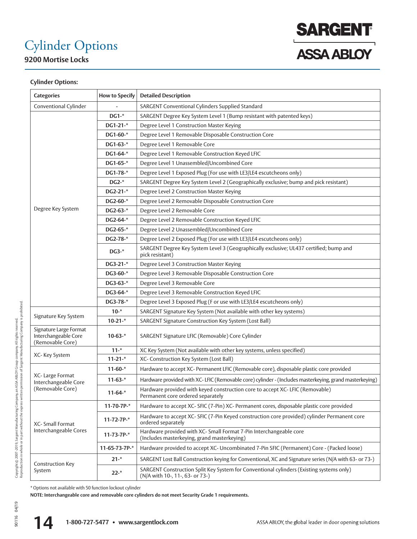# Cylinder Options

**9200 Mortise Locks**



### **Cylinder Options:**

| <b>Categories</b>                                                  | <b>How to Specify</b> | <b>Detailed Description</b>                                                                                                 |  |  |  |  |  |
|--------------------------------------------------------------------|-----------------------|-----------------------------------------------------------------------------------------------------------------------------|--|--|--|--|--|
| Conventional Cylinder                                              |                       | SARGENT Conventional Cylinders Supplied Standard                                                                            |  |  |  |  |  |
|                                                                    | DG1-*                 | SARGENT Degree Key System Level 1 (Bump resistant with patented keys)                                                       |  |  |  |  |  |
|                                                                    | DG1-21-*              | Degree Level 1 Construction Master Keying                                                                                   |  |  |  |  |  |
|                                                                    | DG1-60-*              | Degree Level 1 Removable Disposable Construction Core                                                                       |  |  |  |  |  |
|                                                                    | DG1-63-*              | Degree Level 1 Removable Core                                                                                               |  |  |  |  |  |
|                                                                    | DG1-64-*              | Degree Level 1 Removable Construction Keyed LFIC                                                                            |  |  |  |  |  |
|                                                                    | $DG1-65-*$            | Degree Level 1 Unassembled/Uncombined Core                                                                                  |  |  |  |  |  |
|                                                                    | DG1-78-*              | Degree Level 1 Exposed Plug (For use with LE3/LE4 escutcheons only)                                                         |  |  |  |  |  |
|                                                                    | $DG2-*$               | SARGENT Degree Key System Level 2 (Geographically exclusive; bump and pick resistant)                                       |  |  |  |  |  |
|                                                                    | $DG2-21-*$            | Degree Level 2 Construction Master Keying                                                                                   |  |  |  |  |  |
|                                                                    | DG2-60-*              | Degree Level 2 Removable Disposable Construction Core                                                                       |  |  |  |  |  |
| Degree Key System                                                  | DG2-63-*              | Degree Level 2 Removable Core                                                                                               |  |  |  |  |  |
|                                                                    | DG2-64-*              | Degree Level 2 Removable Construction Keyed LFIC                                                                            |  |  |  |  |  |
|                                                                    | DG2-65-*              | Degree Level 2 Unassembled/Uncombined Core                                                                                  |  |  |  |  |  |
|                                                                    | DG2-78-*              | Degree Level 2 Exposed Plug (For use with LE3/LE4 escutcheons only)                                                         |  |  |  |  |  |
|                                                                    | $DG3-*$               | SARGENT Degree Key System Level 3 (Geographically exclusive; UL437 certified; bump and<br>pick resistant)                   |  |  |  |  |  |
|                                                                    | DG3-21-*              | Degree Level 3 Construction Master Keying                                                                                   |  |  |  |  |  |
|                                                                    | DG3-60-*              | Degree Level 3 Removable Disposable Construction Core                                                                       |  |  |  |  |  |
|                                                                    | DG3-63-*              | Degree Level 3 Removable Core                                                                                               |  |  |  |  |  |
|                                                                    | DG3-64-*              | Degree Level 3 Removable Construction Keyed LFIC                                                                            |  |  |  |  |  |
|                                                                    | DG3-78-*              | Degree Level 3 Exposed Plug (F or use with LE3/LE4 escutcheons only)                                                        |  |  |  |  |  |
|                                                                    | $10 -$ *              | SARGENT Signature Key System (Not available with other key systems)                                                         |  |  |  |  |  |
| Signature Key System                                               | $10-21-$ *            | SARGENT Signature Construction Key System (Lost Ball)                                                                       |  |  |  |  |  |
| Signature Large Format<br>Interchangeable Core<br>(Removable Core) | $10-63-$ *            | SARGENT Signature LFIC (Removable) Core Cylinder                                                                            |  |  |  |  |  |
| XC-Key System                                                      | $11 -$ *              | XC Key System (Not available with other key systems, unless specified)                                                      |  |  |  |  |  |
|                                                                    | $11-21-$              | XC- Construction Key System (Lost Ball)                                                                                     |  |  |  |  |  |
|                                                                    | $11-60-$              | Hardware to accept XC- Permanent LFIC (Removable core), disposable plastic core provided                                    |  |  |  |  |  |
| XC- Large Format<br>Interchangeable Core                           | $11-63-*$             | Hardware provided with XC-LFIC (Removable core) cylinder - (Includes masterkeying, grand masterkeying)                      |  |  |  |  |  |
| (Removable Core)                                                   | $11-64-*$             | Hardware provided with keyed construction core to accept XC-LFIC (Removable)<br>Permanent core ordered separately           |  |  |  |  |  |
|                                                                    | $11-70-7P-$           | Hardware to accept XC- SFIC (7-Pin) XC- Permanent cores, disposable plastic core provided                                   |  |  |  |  |  |
| XC- Small Format<br>Interchangeable Cores                          | $11-72-7P-*$          | Hardware to accept XC- SFIC (7-Pin Keyed construction core provided) cylinder Permanent core<br>ordered separately          |  |  |  |  |  |
|                                                                    | $11-73-7P-*$          | Hardware provided with XC- Small Format 7-Pin Interchangeable core<br>(Includes masterkeying, grand masterkeying)           |  |  |  |  |  |
|                                                                    | 11-65-73-7P-*         | Hardware provided to accept XC- Uncombinated 7-Pin SFIC (Permanent) Core - (Packed loose)                                   |  |  |  |  |  |
|                                                                    | $21 -$ *              | SARGENT Lost Ball Construction keying for Conventional, XC and Signature series (N/A with 63- or 73-)                       |  |  |  |  |  |
| <b>Construction Key</b><br>System                                  | $22 -$ *              | SARGENT Construction Split Key System for Conventional cylinders (Existing systems only)<br>(N/A with 10-, 11-, 63- or 73-) |  |  |  |  |  |

\* Options not available with 50 function lockout cylinder

**NOTE: Interchangeable core and removable core cylinders do not meet Security Grade 1 requirements.**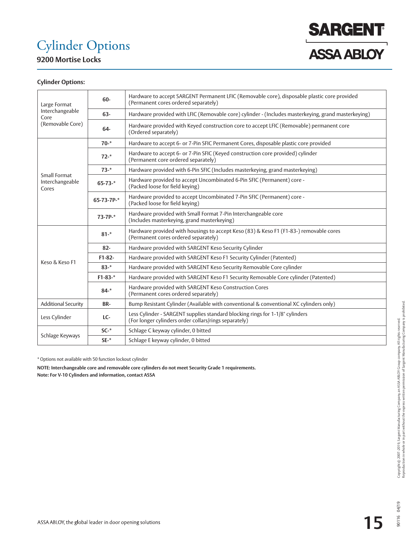# Cylinder Options



**9200 Mortise Locks**

### **Cylinder Options:**

| Large Format                                | 60-           | Hardware to accept SARGENT Permanent LFIC (Removable core), disposable plastic core provided<br>(Permanent cores ordered separately)   |  |  |  |  |
|---------------------------------------------|---------------|----------------------------------------------------------------------------------------------------------------------------------------|--|--|--|--|
| Interchangeable<br>Core<br>(Removable Core) | 63-           | Hardware provided with LFIC (Removable core) cylinder - (Includes masterkeying, grand masterkeying)                                    |  |  |  |  |
|                                             | 64-           | Hardware provided with Keyed construction core to accept LFIC (Removable) permanent core<br>(Ordered separately)                       |  |  |  |  |
|                                             | $70 -$ *      | Hardware to accept 6- or 7-Pin SFIC Permanent Cores, disposable plastic core provided                                                  |  |  |  |  |
|                                             | $72 -$ *      | Hardware to accept 6- or 7-Pin SFIC (Keyed construction core provided) cylinder<br>(Permanent core ordered separately)                 |  |  |  |  |
|                                             | $73 -$ *      | Hardware provided with 6-Pin SFIC (Includes masterkeying, grand masterkeying)                                                          |  |  |  |  |
| Small Format<br>Interchangeable<br>Cores    | $65 - 73 -$ * | Hardware provided to accept Uncombinated 6-Pin SFIC (Permanent) core -<br>(Packed loose for field keying)                              |  |  |  |  |
|                                             | 65-73-7P-*    | Hardware provided to accept Uncombinated 7-Pin SFIC (Permanent) core -<br>(Packed loose for field keying)                              |  |  |  |  |
|                                             | $73-7P-$ *    | Hardware provided with Small Format 7-Pin Interchangeable core<br>(Includes masterkeying, grand masterkeying)                          |  |  |  |  |
|                                             | $81 -$ *      | Hardware provided with housings to accept Keso (83) & Keso F1 (F1-83-) removable cores<br>(Permanent cores ordered separately)         |  |  |  |  |
|                                             | $82 -$        | Hardware provided with SARGENT Keso Security Cylinder                                                                                  |  |  |  |  |
| Keso & Keso F1                              | $F1-82-$      | Hardware provided with SARGENT Keso F1 Security Cylinder (Patented)                                                                    |  |  |  |  |
|                                             | $83 -$ *      | Hardware provided with SARGENT Keso Security Removable Core cylinder                                                                   |  |  |  |  |
|                                             | $F1-83-$ *    | Hardware provided with SARGENT Keso F1 Security Removable Core cylinder (Patented)                                                     |  |  |  |  |
|                                             | $84 -$ *      | Hardware provided with SARGENT Keso Construction Cores<br>(Permanent cores ordered separately)                                         |  |  |  |  |
| <b>Additional Security</b>                  | BR-           | Bump Resistant Cylinder (Available with conventional & conventional XC cylinders only)                                                 |  |  |  |  |
| Less Cylinder                               | LC-           | Less Cylinder - SARGENT supplies standard blocking rings for 1-1/8" cylinders<br>(For longer cylinders order collars/rings separately) |  |  |  |  |
|                                             | $SC-*$        | Schlage C keyway cylinder, 0 bitted                                                                                                    |  |  |  |  |
| Schlage Keyways                             | $SE-$ *       | Schlage E keyway cylinder, 0 bitted                                                                                                    |  |  |  |  |

\* Options not available with 50 function lockout cylinder

**NOTE: Interchangeable core and removable core cylinders do not meet Security Grade 1 requirements. Note: For V-10 Cylinders and information, contact ASSA**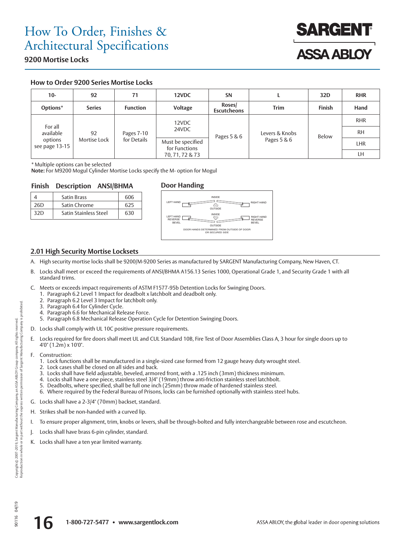

### **9200 Mortise Locks**

### **How to Order 9200 Series Mortise Locks**

| $10 -$                     | 92            | 71              | 12VDC                              | <b>SN</b>                    |             | 32D           | <b>RHR</b> |
|----------------------------|---------------|-----------------|------------------------------------|------------------------------|-------------|---------------|------------|
| Options*                   | <b>Series</b> | <b>Function</b> | Voltage                            | Roses/<br><b>Escutcheons</b> | <b>Trim</b> | <b>Finish</b> | Hand       |
|                            |               |                 | 12VDC                              |                              |             |               | <b>RHR</b> |
| For all<br>available<br>92 | Pages 7-10    | 24VDC           | Pages 5 & 6                        | Levers & Knobs               | Below       | <b>RH</b>     |            |
| options<br>see page 13-15  | Mortise Lock  | for Details     | Must be specified<br>for Functions |                              | Pages 5 & 6 |               | LHR        |
|                            |               |                 | 70, 71, 72 & 73                    |                              |             |               | LH         |

\* Multiple options can be selected

**Note:** For M9200 Mogul Cylinder Mortise Locks specify the M- option for Mogul

#### **Finish Description ANSI/BHMA Door Handing**

|     | <b>Satin Brass</b>           | 606 |
|-----|------------------------------|-----|
| 26D | Satin Chrome                 | 625 |
| 32D | <b>Satin Stainless Steel</b> | 630 |



### **2.01 High Security Mortise Locksets**

- A. High security mortise locks shall be 9200/M-9200 Series as manufactured by SARGENT Manufacturing Company, New Haven, CT.
- B. Locks shall meet or exceed the requirements of ANSI/BHMA A156.13 Series 1000, Operational Grade 1, and Security Grade 1 with all standard trims.
- C. Meets or exceeds impact requirements of ASTM F1577-95b Detention Locks for Swinging Doors.
	- 1. Paragraph 6.2 Level 1 Impact for deadbolt x latchbolt and deadbolt only.
	- 2. Paragraph 6.2 Level 3 Impact for latchbolt only.
	- 3. Paragraph 6.4 for Cylinder Cycle.
	- 4. Paragraph 6.6 for Mechanical Release Force.
	- 5. Paragraph 6.8 Mechanical Release Operation Cycle for Detention Swinging Doors.
- D. Locks shall comply with UL 10C positive pressure requirements.
- E. Locks required for fire doors shall meet UL and CUL Standard 10B, Fire Test of Door Assemblies Class A, 3 hour for single doors up to 4'0" (1.2m) x 10'0".
- F. Construction:
	- 1. Lock functions shall be manufactured in a single-sized case formed from 12 gauge heavy duty wrought steel.
	- 2. Lock cases shall be closed on all sides and back.
	- 3. Locks shall have field adjustable, beveled, armored front, with a .125 inch (3mm) thickness minimum.
	- 4. Locks shall have a one piece, stainless steel 3/4" (19mm) throw anti-friction stainless steel latchbolt.
	- 5. Deadbolts, where specified, shall be full one inch (25mm) throw made of hardened stainless steel.
	- 6. Where required by the Federal Bureau of Prisons, locks can be furnished optionally with stainless steel hubs.
- G. Locks shall have a 2-3/4" (70mm) backset, standard.
- H. Strikes shall be non-handed with a curved lip.
- I. To ensure proper alignment, trim, knobs or levers, shall be through-bolted and fully interchangeable between rose and escutcheon.
- J. Locks shall have brass 6-pin cylinder, standard.
- K. Locks shall have a ten year limited warranty.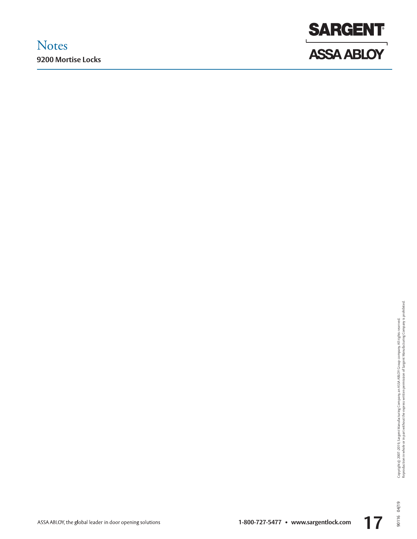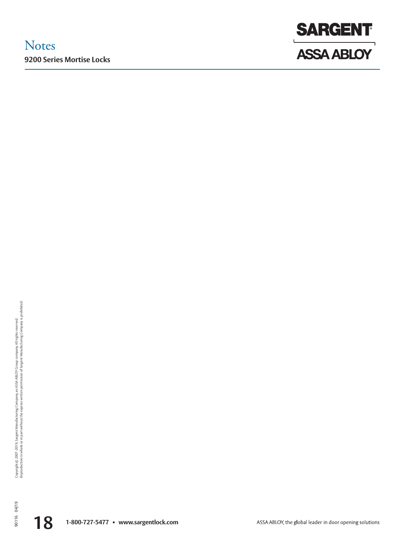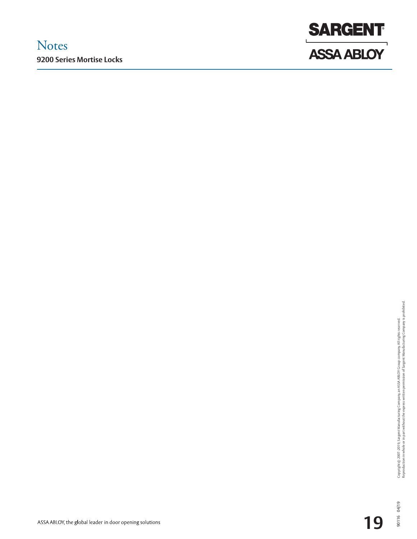